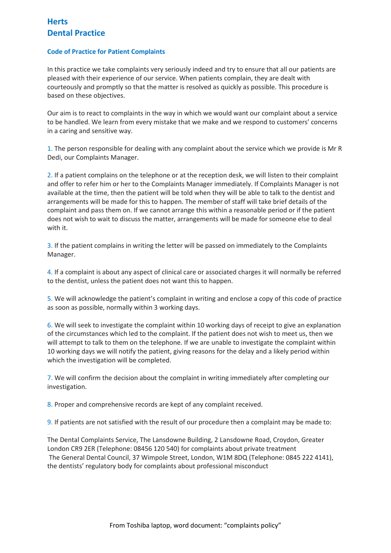## **Herts Dental Practice**

## **Code of Practice for Patient Complaints**

In this practice we take complaints very seriously indeed and try to ensure that all our patients are pleased with their experience of our service. When patients complain, they are dealt with courteously and promptly so that the matter is resolved as quickly as possible. This procedure is based on these objectives.

Our aim is to react to complaints in the way in which we would want our complaint about a service to be handled. We learn from every mistake that we make and we respond to customers' concerns in a caring and sensitive way.

1. The person responsible for dealing with any complaint about the service which we provide is Mr R Dedi, our Complaints Manager.

2. If a patient complains on the telephone or at the reception desk, we will listen to their complaint and offer to refer him or her to the Complaints Manager immediately. If Complaints Manager is not available at the time, then the patient will be told when they will be able to talk to the dentist and arrangements will be made for this to happen. The member of staff will take brief details of the complaint and pass them on. If we cannot arrange this within a reasonable period or if the patient does not wish to wait to discuss the matter, arrangements will be made for someone else to deal with it.

3. If the patient complains in writing the letter will be passed on immediately to the Complaints Manager.

4. If a complaint is about any aspect of clinical care or associated charges it will normally be referred to the dentist, unless the patient does not want this to happen.

5. We will acknowledge the patient's complaint in writing and enclose a copy of this code of practice as soon as possible, normally within 3 working days.

6. We will seek to investigate the complaint within 10 working days of receipt to give an explanation of the circumstances which led to the complaint. If the patient does not wish to meet us, then we will attempt to talk to them on the telephone. If we are unable to investigate the complaint within 10 working days we will notify the patient, giving reasons for the delay and a likely period within which the investigation will be completed.

7. We will confirm the decision about the complaint in writing immediately after completing our investigation.

8. Proper and comprehensive records are kept of any complaint received.

9. If patients are not satisfied with the result of our procedure then a complaint may be made to:

The Dental Complaints Service, The Lansdowne Building, 2 Lansdowne Road, Croydon, Greater London CR9 2ER (Telephone: 08456 120 540) for complaints about private treatment The General Dental Council, 37 Wimpole Street, London, W1M 8DQ (Telephone: 0845 222 4141), the dentists' regulatory body for complaints about professional misconduct